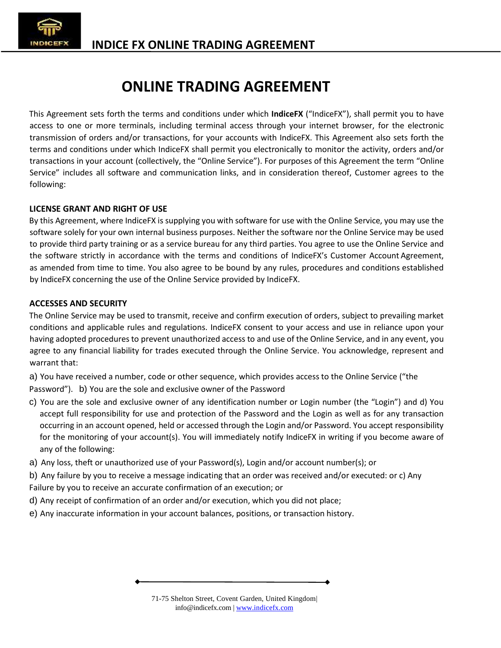

# **ONLINE TRADING AGREEMENT**

This Agreement sets forth the terms and conditions under which **IndiceFX** ("IndiceFX"), shall permit you to have access to one or more terminals, including terminal access through your internet browser, for the electronic transmission of orders and/or transactions, for your accounts with IndiceFX. This Agreement also sets forth the terms and conditions under which IndiceFX shall permit you electronically to monitor the activity, orders and/or transactions in your account (collectively, the "Online Service"). For purposes of this Agreement the term "Online Service" includes all software and communication links, and in consideration thereof, Customer agrees to the following:

# **LICENSE GRANT AND RIGHT OF USE**

By this Agreement, where IndiceFX is supplying you with software for use with the Online Service, you may use the software solely for your own internal business purposes. Neither the software nor the Online Service may be used to provide third party training or as a service bureau for any third parties. You agree to use the Online Service and the software strictly in accordance with the terms and conditions of IndiceFX's Customer Account Agreement, as amended from time to time. You also agree to be bound by any rules, procedures and conditions established by IndiceFX concerning the use of the Online Service provided by IndiceFX.

## **ACCESSES AND SECURITY**

The Online Service may be used to transmit, receive and confirm execution of orders, subject to prevailing market conditions and applicable rules and regulations. IndiceFX consent to your access and use in reliance upon your having adopted procedures to prevent unauthorized access to and use of the Online Service, and in any event, you agree to any financial liability for trades executed through the Online Service. You acknowledge, represent and warrant that:

a) You have received a number, code or other sequence, which provides access to the Online Service ("the

Password"). b) You are the sole and exclusive owner of the Password

- c) You are the sole and exclusive owner of any identification number or Login number (the "Login") and d) You accept full responsibility for use and protection of the Password and the Login as well as for any transaction occurring in an account opened, held or accessed through the Login and/or Password. You accept responsibility for the monitoring of your account(s). You will immediately notify IndiceFX in writing if you become aware of any of the following:
- a) Any loss, theft or unauthorized use of your Password(s), Login and/or account number(s); or
- b) Any failure by you to receive a message indicating that an order was received and/or executed: or c) Any Failure by you to receive an accurate confirmation of an execution; or
- d) Any receipt of confirmation of an order and/or execution, which you did not place;
- e) Any inaccurate information in your account balances, positions, or transaction history.

71-75 Shelton Street, Covent Garden, United Kingdom| info@indicefx.com | www.indicefx.com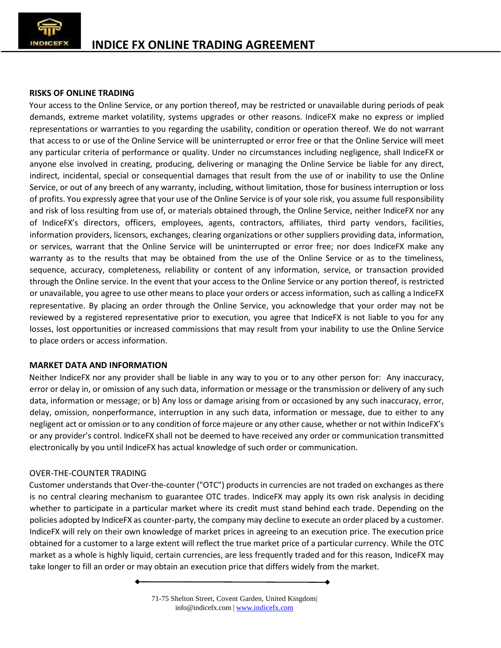

## **RISKS OF ONLINE TRADING**

Your access to the Online Service, or any portion thereof, may be restricted or unavailable during periods of peak demands, extreme market volatility, systems upgrades or other reasons. IndiceFX make no express or implied representations or warranties to you regarding the usability, condition or operation thereof. We do not warrant that access to or use of the Online Service will be uninterrupted or error free or that the Online Service will meet any particular criteria of performance or quality. Under no circumstances including negligence, shall IndiceFX or anyone else involved in creating, producing, delivering or managing the Online Service be liable for any direct, indirect, incidental, special or consequential damages that result from the use of or inability to use the Online Service, or out of any breech of any warranty, including, without limitation, those for business interruption or loss of profits. You expressly agree that your use of the Online Service is of your sole risk,you assume full responsibility and risk of loss resulting from use of, or materials obtained through, the Online Service, neither IndiceFX nor any of IndiceFX's directors, officers, employees, agents, contractors, affiliates, third party vendors, facilities, information providers, licensors, exchanges, clearing organizations or other suppliers providing data, information, or services, warrant that the Online Service will be uninterrupted orerror free; nor does IndiceFX make any warranty as to the results that may be obtained from the use of the Online Service or as to the timeliness, sequence, accuracy, completeness, reliability or content of any information, service, or transaction provided through the Online service. In the event that your access to the Online Service orany portion thereof, is restricted or unavailable, you agree to use other means to place your orders or access information, such as calling a IndiceFX representative. By placing an order through the Online Service, you acknowledge that your order may not be reviewed by a registered representative prior to execution, you agree that IndiceFX is not liable to you for any losses, lost opportunities or increased commissions that may result from your inability to use the Online Service to place orders or access information.

## **MARKET DATA AND INFORMATION**

Neither IndiceFX nor any provider shall be liable in any way to you or to any other person for: Any inaccuracy, error or delay in, or omission of any such data, information or message orthe transmission or delivery of any such data, information or message; or b) Any loss or damage arising from or occasioned by any such inaccuracy, error, delay, omission, nonperformance, interruption in any such data, information or message, due to either to any negligent act or omission or to any condition of force majeure or any other cause, whether or not within IndiceFX's or any provider's control. IndiceFX shall not be deemed to have received any order or communication transmitted electronically by you until IndiceFX has actual knowledge of such order or communication.

## OVER-THE-COUNTER TRADING

Customer understands that Over-the-counter ("OTC") products in currencies are not traded on exchanges as there is no central clearing mechanism to guarantee OTC trades. IndiceFX may apply its own risk analysis in deciding whether to participate in a particular market where its credit must stand behind each trade. Depending on the policies adopted by IndiceFX as counter-party, the company may decline to execute an order placed by a customer. IndiceFX will rely on their own knowledge of market prices in agreeing to an execution price. The execution price obtained for a customer to a large extent will reflect the true market price of a particular currency. While the OTC market as a whole is highly liquid, certain currencies, are less frequently traded and for this reason, IndiceFX may take longer to fill an order or may obtain an execution price that differs widely from the market.